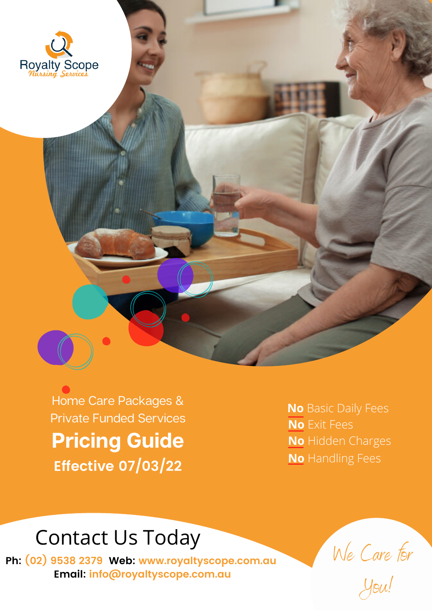

**Pricing Guide Effective 07/03/22** Home Care Packages & Private Funded Services

**No** Basic Daily Fees **No** Exit Fees **No** Hidden Charges **No** Handling Fees

## Contact Us Today

**Ph: (02) 9538 2379 Web: [www.royaltyscope.com.au](http://www.royaltyscope.com.au/) Email: info[@royaltyscope.com.au](mailto:operations@royaltyscope.com.au)**

We Care for

You!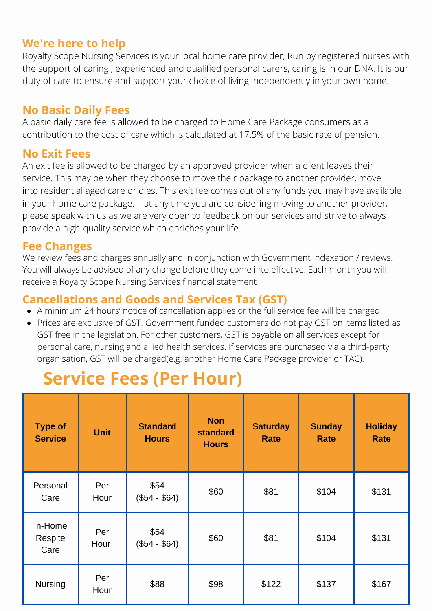#### **We're here to help**

Royalty Scope Nursing Services is your local home care provider, Run by registered nurses with the support of caring , experienced and qualified personal carers, caring is in our DNA. It is our duty of care to ensure and support your choice of living independently in your own home.

#### **No Basic Daily Fees**

A basic daily care fee is allowed to be charged to Home Care Package consumers as a contribution to the cost of care which is calculated at 17.5% of the basic rate of pension.

#### **No Exit Fees**

An exit fee is allowed to be charged by an approved provider when a client leaves their service. This may be when they choose to move their package to another provider, move into residential aged care or dies. This exit fee comes out of any funds you may have available in your home care package. If at any time you are considering moving to another provider, please speak with us as we are very open to feedback on our services and strive to always provide a high-quality service which enriches your life.

#### **Fee Changes**

We review fees and charges annually and in conjunction with Government indexation / reviews. You will always be advised of any change before they come into effective. Each month you will receive a Royalty Scope Nursing Services financial statement

### **Cancellations and Goods and Services Tax (GST)**

- A minimum 24 hours' notice of cancellation applies or the full service fee will be charged
- Prices are exclusive of GST. Government funded customers do not pay GST on items listed as GST free in the legislation. For other customers, GST is payable on all services except for personal care, nursing and allied health services. If services are purchased via a third-party organisation, GST will be charged(e.g. another Home Care Package provider or TAC).

## **Service Fees (Per Hour)**

| <b>Type of</b><br><b>Service</b> | <b>Unit</b> | <b>Standard</b><br><b>Hours</b> | <b>Non</b><br><b>standard</b><br><b>Hours</b> | <b>Saturday</b><br>Rate | <b>Sunday</b><br>Rate | <b>Holiday</b><br><b>Rate</b> |
|----------------------------------|-------------|---------------------------------|-----------------------------------------------|-------------------------|-----------------------|-------------------------------|
| Personal<br>Care                 | Per<br>Hour | \$54<br>$($54 - $64)$           | \$60                                          | \$81                    | \$104                 | \$131                         |
| In-Home<br>Respite<br>Care       | Per<br>Hour | \$54<br>$($54 - $64)$           | \$60                                          | \$81                    | \$104                 | \$131                         |
| <b>Nursing</b>                   | Per<br>Hour | \$88                            | \$98                                          | \$122                   | \$137                 | \$167                         |